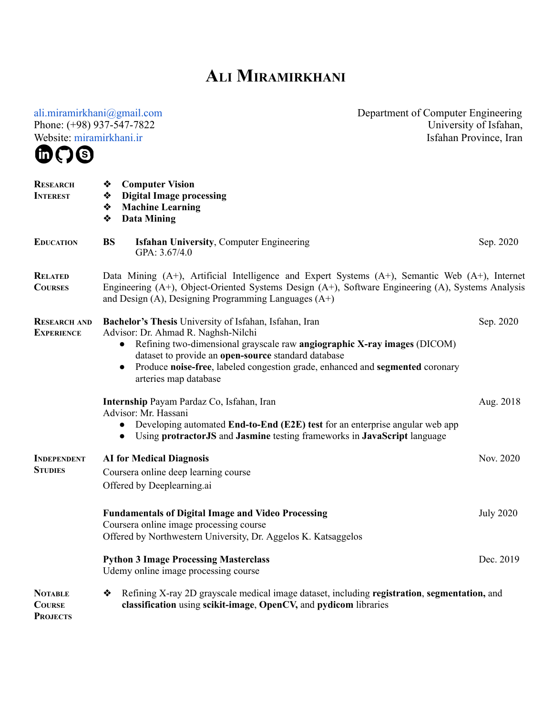## **ALI M IRAMIRKHANI**

[ali.miramirkhani@gmail.com](mailto:ali.miramirkhani@gmail.com)  Phone: (+98) 937-547-7822 Website: [miramirkhani.ir](https://miramirkhani.ir/)  Department of Computer Engineering University of Isfahan, Isfahan Province, Iran **RESEARCH INTEREST** ❖ **Computer Vision** ❖ **Digital Image processing** ❖ **Machine Learning** ❖ **Data Mining EDUCATION BS Isfahan University**, Computer Engineering GPA: 3.67/4.0 Sep. 2020 **RELATED COURSES** Data Mining (A+), Artificial Intelligence and Expert Systems (A+), Semantic Web (A+), Internet Engineering (A+), Object-Oriented Systems Design (A+), Software Engineering (A), Systems Analysis and Design (A), Designing Programming Languages (A+) **RESEARCH AND EXPERIENCE Bachelor's Thesis** University of Isfahan, Isfahan, Iran Advisor: Dr. Ahmad R. Naghsh-Nilchi ● Refining two-dimensional grayscale raw **angiographic X-ray images** (DICOM) dataset to provide an **open-source** standard database ● Produce **noise-free**, labeled congestion grade, enhanced and **segmented** coronary arteries map database Sep. 2020 **Internship** Payam Pardaz Co, Isfahan, Iran Advisor: Mr. Hassani ● Developing automated **End-to-End (E2E) test** for an enterprise angular web app ● Using **protractorJS** and **Jasmine** testing frameworks in **JavaScript** language Aug. 2018 **INDEPENDENT STUDIES AI for Medical Diagnosis** Coursera online deep learning course Offered by Deeplearning.ai Nov. 2020 **Fundamentals of Digital Image and Video Processing** Coursera online image processing course Offered by Northwestern University, Dr. Aggelos K. Katsaggelos July 2020 **Python 3 Image Processing Masterclass** Udemy online image processing course Dec. 2019 **NOTABLE COURSE PROJECTS** ❖ Refining X-ray 2D grayscale medical image dataset, including **registration**, **segmentation,** and **classification** using **scikit-image**, **OpenCV,** and **pydicom** libraries